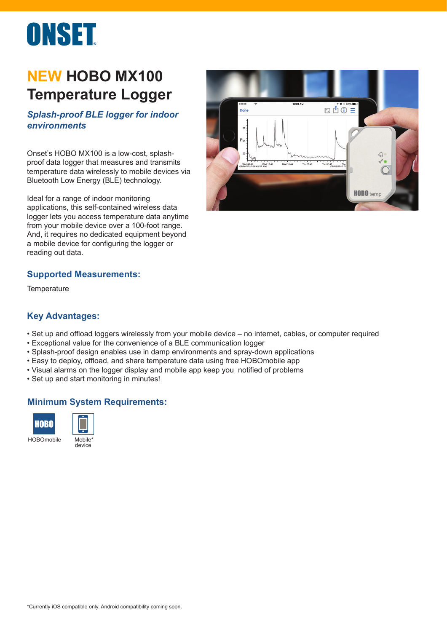# ONSET

## **NEW HOBO MX100 Temperature Logger**

### *Splash-proof BLE logger for indoor environments*

Onset's HOBO MX100 is a low-cost, splashproof data logger that measures and transmits temperature data wirelessly to mobile devices via Bluetooth Low Energy (BLE) technology.

Ideal for a range of indoor monitoring applications, this self-contained wireless data logger lets you access temperature data anytime from your mobile device over a 100-foot range. And, it requires no dedicated equipment beyond a mobile device for configuring the logger or reading out data.



#### **Supported Measurements:**

**Temperature** 

#### **Key Advantages:**

- Set up and offload loggers wirelessly from your mobile device no internet, cables, or computer required
- Exceptional value for the convenience of a BLE communication logger
- Splash-proof design enables use in damp environments and spray-down applications
- Easy to deploy, offload, and share temperature data using free HOBOmobile app
- Visual alarms on the logger display and mobile app keep you notified of problems
- Set up and start monitoring in minutes!

#### **Minimum System Requirements:**





HOBOmobile Mobile<sup>\*</sup> device